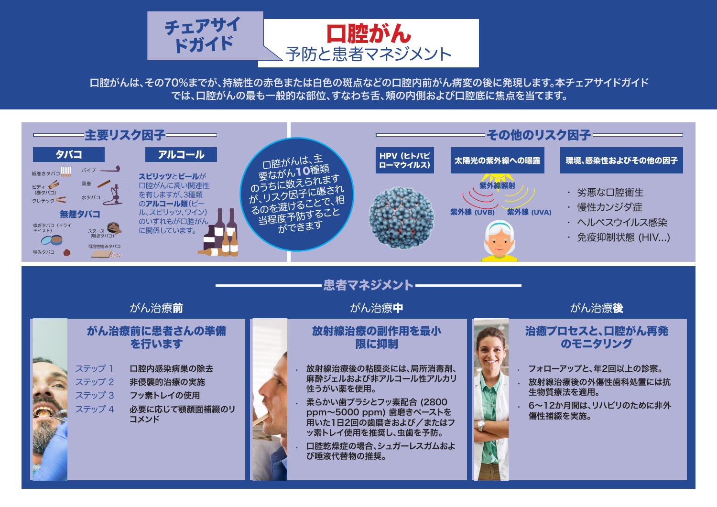口腔がんは、その70%までが、持続性の赤色または白色の斑点などの口腔内前がん病変の後に発現します。本チェアサイドガイド では、口腔がんの最も一般的な部位、すなわち舌、頬の内側および口腔底に焦点を当てます。

## がん治療前に患者さんの準備 を行います

放射線治療の副作用を最小

限に抑制

がん治療**前 しゅうしょう しゅうしょう おん**治療**中** しゅうしょう かん治療後 がん治療**前** 

### 治癒プロセスと、口腔がん再発 のモニタリング

| ステップ 1 | 口腔内感染病巣の除去            |
|--------|-----------------------|
| ステップ 2 | 非侵襲的治療の実施             |
| ステップ 3 | フッ素トレイの使用             |
| ステップ 4 | 必要に応じて顎顔面補綴のリ<br>コメンド |

**•** 放射線治療後の粘膜炎には、局所消毒剤、 麻酔ジェルおよび非アルコール性アルカリ 性うがい薬を使用。

- **•** 柔らかい歯ブラシとフッ素配合 (2800 ppm~5000 ppm) 歯磨きペーストを 用いた1日2回の歯磨きおよび/またはフ ッ素トレイ使用を推奨し、虫歯を予防。
- **•** 口腔乾燥症の場合、シュガーレスガムおよ び唾液代替物の推奨。



**•** フォローアップと、年2回以上の診察。

**•** 放射線治療後の外傷性歯科処置には抗 生物質療法を適用。

**•** 6~12か月間は、リハビリのために非外 傷性補綴を実施。



From *The Challenge of Oral Disease – A call for global action* by FDI World Dental Federation.

**Tobacco use Types of tobacco use Effects of tobacco on oral health** 



### - 患者マネジメント-

have been associated with

From *The Challenge of Oral Disease – A call for global action* by FDI World Dental Federation.